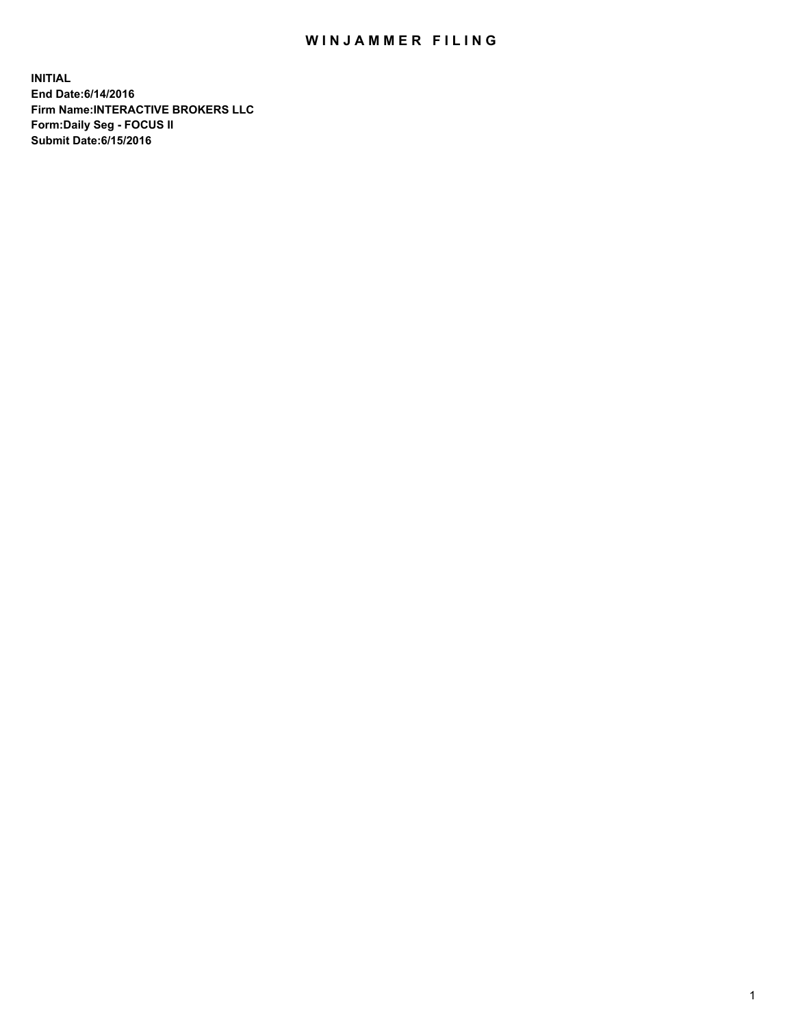## WIN JAMMER FILING

**INITIAL End Date:6/14/2016 Firm Name:INTERACTIVE BROKERS LLC Form:Daily Seg - FOCUS II Submit Date:6/15/2016**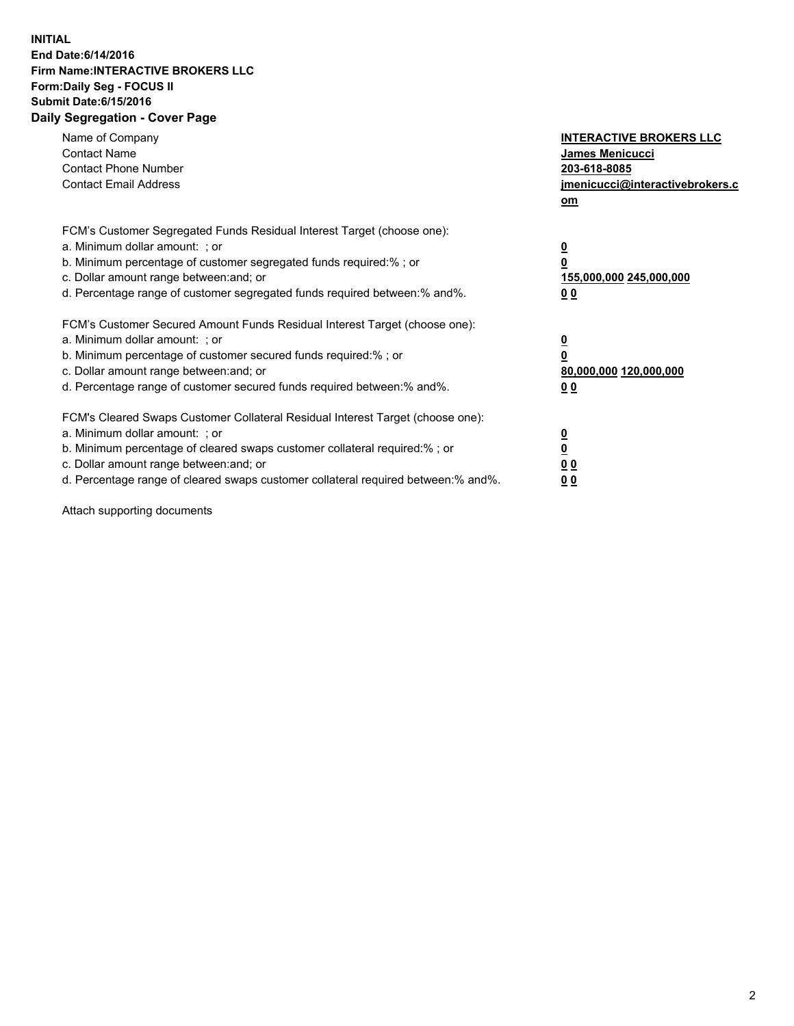## **INITIAL End Date:6/14/2016 Firm Name:INTERACTIVE BROKERS LLC Form:Daily Seg - FOCUS II Submit Date:6/15/2016 Daily Segregation - Cover Page**

| Name of Company<br><b>Contact Name</b><br><b>Contact Phone Number</b><br><b>Contact Email Address</b>                                                                                                                                                                                                                          | <b>INTERACTIVE BROKERS LLC</b><br>James Menicucci<br>203-618-8085<br>jmenicucci@interactivebrokers.c<br>om |
|--------------------------------------------------------------------------------------------------------------------------------------------------------------------------------------------------------------------------------------------------------------------------------------------------------------------------------|------------------------------------------------------------------------------------------------------------|
| FCM's Customer Segregated Funds Residual Interest Target (choose one):<br>a. Minimum dollar amount: ; or<br>b. Minimum percentage of customer segregated funds required:%; or<br>c. Dollar amount range between: and; or<br>d. Percentage range of customer segregated funds required between:% and%.                          | $\overline{\mathbf{0}}$<br>0<br>155,000,000 245,000,000<br>0 <sub>0</sub>                                  |
| FCM's Customer Secured Amount Funds Residual Interest Target (choose one):<br>a. Minimum dollar amount: ; or<br>b. Minimum percentage of customer secured funds required:%; or<br>c. Dollar amount range between: and; or<br>d. Percentage range of customer secured funds required between:% and%.                            | $\overline{\mathbf{0}}$<br>$\overline{\mathbf{0}}$<br>80,000,000 120,000,000<br>00                         |
| FCM's Cleared Swaps Customer Collateral Residual Interest Target (choose one):<br>a. Minimum dollar amount: ; or<br>b. Minimum percentage of cleared swaps customer collateral required:% ; or<br>c. Dollar amount range between: and; or<br>d. Percentage range of cleared swaps customer collateral required between:% and%. | $\overline{\mathbf{0}}$<br>$\overline{\mathbf{0}}$<br>0 <sub>0</sub><br><u>00</u>                          |

Attach supporting documents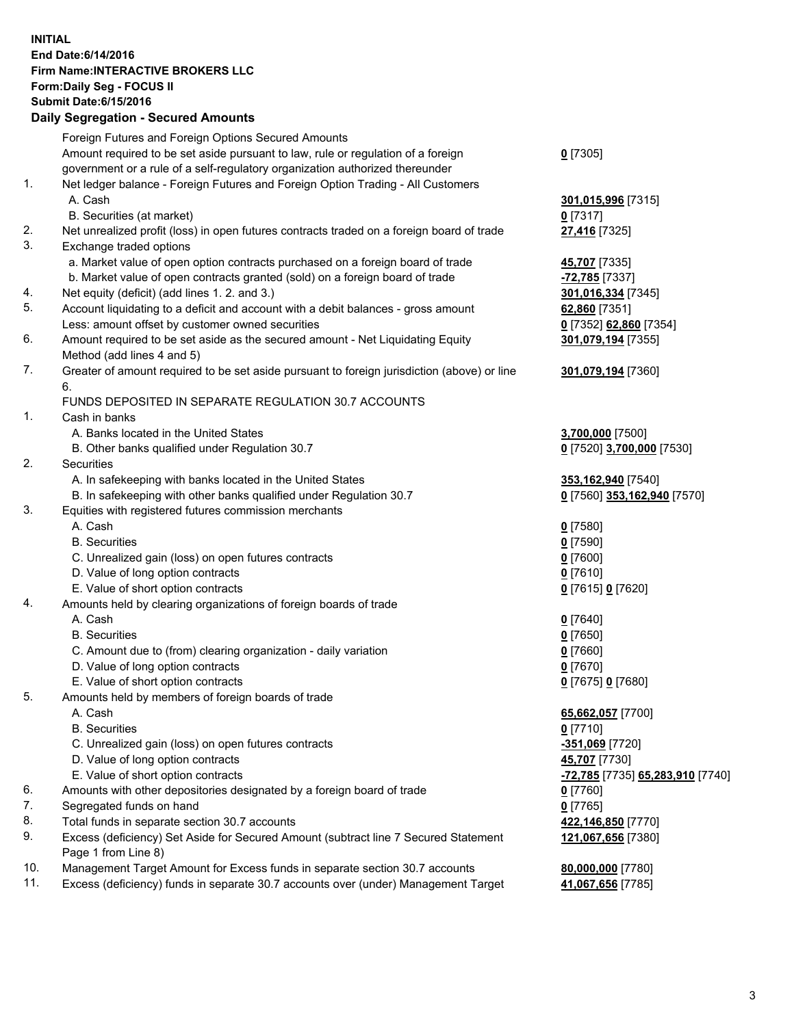## **INITIAL End Date:6/14/2016 Firm Name:INTERACTIVE BROKERS LLC Form:Daily Seg - FOCUS II Submit Date:6/15/2016 Daily Segregation - Secured Amounts**

|     | Daily Jegregation - Jeculed Aniounts                                                                       |                                  |
|-----|------------------------------------------------------------------------------------------------------------|----------------------------------|
|     | Foreign Futures and Foreign Options Secured Amounts                                                        |                                  |
|     | Amount required to be set aside pursuant to law, rule or regulation of a foreign                           | $0$ [7305]                       |
|     | government or a rule of a self-regulatory organization authorized thereunder                               |                                  |
| 1.  | Net ledger balance - Foreign Futures and Foreign Option Trading - All Customers                            |                                  |
|     | A. Cash                                                                                                    | 301,015,996 [7315]               |
|     | B. Securities (at market)                                                                                  | $0$ [7317]                       |
| 2.  | Net unrealized profit (loss) in open futures contracts traded on a foreign board of trade                  | 27,416 [7325]                    |
| 3.  | Exchange traded options                                                                                    |                                  |
|     | a. Market value of open option contracts purchased on a foreign board of trade                             | <b>45,707</b> [7335]             |
|     | b. Market value of open contracts granted (sold) on a foreign board of trade                               | -72,785 [7337]                   |
| 4.  | Net equity (deficit) (add lines 1.2. and 3.)                                                               | 301,016,334 [7345]               |
| 5.  | Account liquidating to a deficit and account with a debit balances - gross amount                          | 62,860 [7351]                    |
|     | Less: amount offset by customer owned securities                                                           | 0 [7352] 62,860 [7354]           |
| 6.  | Amount required to be set aside as the secured amount - Net Liquidating Equity                             | 301,079,194 [7355]               |
|     | Method (add lines 4 and 5)                                                                                 |                                  |
| 7.  | Greater of amount required to be set aside pursuant to foreign jurisdiction (above) or line                | 301,079,194 [7360]               |
|     | 6.                                                                                                         |                                  |
|     | FUNDS DEPOSITED IN SEPARATE REGULATION 30.7 ACCOUNTS                                                       |                                  |
| 1.  | Cash in banks                                                                                              |                                  |
|     | A. Banks located in the United States                                                                      | 3,700,000 [7500]                 |
|     | B. Other banks qualified under Regulation 30.7                                                             | 0 [7520] 3,700,000 [7530]        |
| 2.  | Securities                                                                                                 |                                  |
|     | A. In safekeeping with banks located in the United States                                                  | 353,162,940 [7540]               |
|     | B. In safekeeping with other banks qualified under Regulation 30.7                                         | 0 [7560] 353,162,940 [7570]      |
| 3.  | Equities with registered futures commission merchants                                                      |                                  |
|     | A. Cash                                                                                                    | $0$ [7580]                       |
|     | <b>B.</b> Securities                                                                                       | $0$ [7590]                       |
|     | C. Unrealized gain (loss) on open futures contracts                                                        | $0$ [7600]                       |
|     | D. Value of long option contracts                                                                          | $0$ [7610]                       |
|     | E. Value of short option contracts                                                                         | 0 [7615] 0 [7620]                |
| 4.  | Amounts held by clearing organizations of foreign boards of trade                                          |                                  |
|     | A. Cash                                                                                                    | $0$ [7640]                       |
|     | <b>B.</b> Securities                                                                                       | $0$ [7650]                       |
|     | C. Amount due to (from) clearing organization - daily variation                                            | $0$ [7660]                       |
|     | D. Value of long option contracts                                                                          | $0$ [7670]                       |
|     | E. Value of short option contracts                                                                         | 0 [7675] 0 [7680]                |
| 5.  | Amounts held by members of foreign boards of trade                                                         |                                  |
|     | A. Cash                                                                                                    | 65,662,057 [7700]                |
|     | <b>B.</b> Securities                                                                                       | $0$ [7710]                       |
|     | C. Unrealized gain (loss) on open futures contracts                                                        | -351,069 [7720]                  |
|     | D. Value of long option contracts                                                                          | 45,707 [7730]                    |
|     | E. Value of short option contracts                                                                         | -72,785 [7735] 65,283,910 [7740] |
| 6.  | Amounts with other depositories designated by a foreign board of trade                                     | 0 [7760]                         |
| 7.  | Segregated funds on hand                                                                                   | $0$ [7765]                       |
| 8.  | Total funds in separate section 30.7 accounts                                                              | 422,146,850 [7770]               |
| 9.  | Excess (deficiency) Set Aside for Secured Amount (subtract line 7 Secured Statement<br>Page 1 from Line 8) | 121,067,656 [7380]               |
| 10. | Management Target Amount for Excess funds in separate section 30.7 accounts                                | 80,000,000 [7780]                |
| 11. | Excess (deficiency) funds in separate 30.7 accounts over (under) Management Target                         | 41,067,656 [7785]                |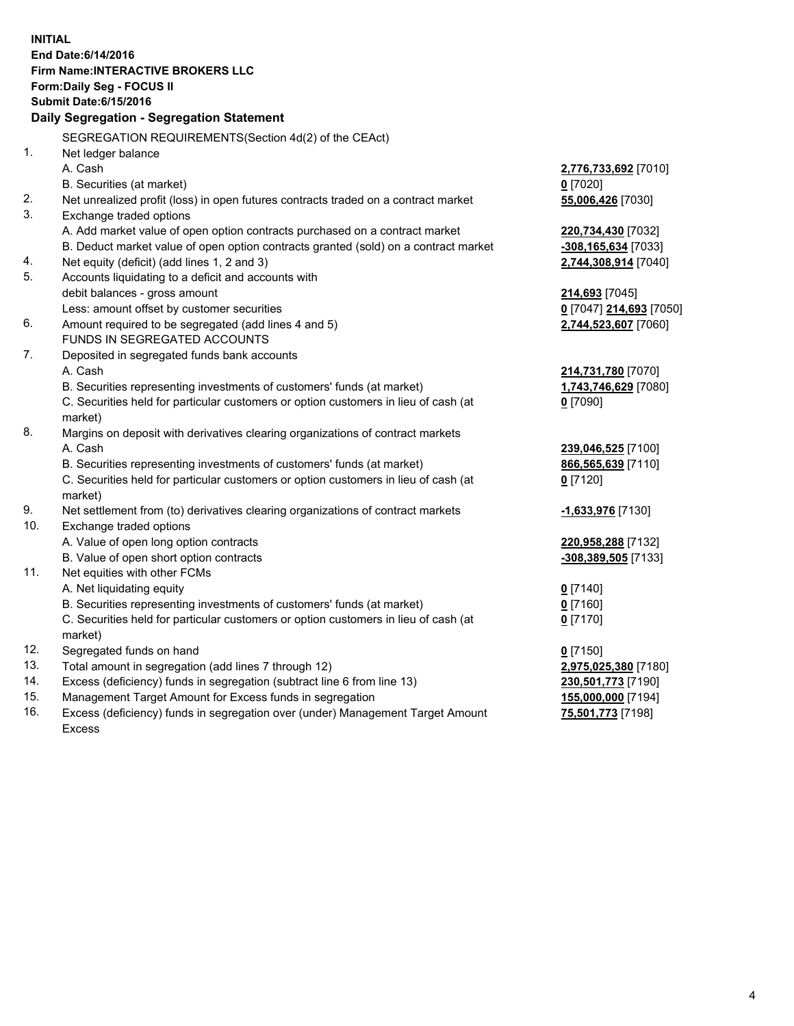**INITIAL End Date:6/14/2016 Firm Name:INTERACTIVE BROKERS LLC Form:Daily Seg - FOCUS II Submit Date:6/15/2016 Daily Segregation - Segregation Statement** SEGREGATION REQUIREMENTS(Section 4d(2) of the CEAct) 1. Net ledger balance A. Cash **2,776,733,692** [7010] B. Securities (at market) **0** [7020] 2. Net unrealized profit (loss) in open futures contracts traded on a contract market **55,006,426** [7030] 3. Exchange traded options A. Add market value of open option contracts purchased on a contract market **220,734,430** [7032] B. Deduct market value of open option contracts granted (sold) on a contract market **-308,165,634** [7033] 4. Net equity (deficit) (add lines 1, 2 and 3) **2,744,308,914** [7040] 5. Accounts liquidating to a deficit and accounts with debit balances - gross amount **214,693** [7045] Less: amount offset by customer securities **0** [7047] **214,693** [7050] 6. Amount required to be segregated (add lines 4 and 5) **2,744,523,607** [7060] FUNDS IN SEGREGATED ACCOUNTS 7. Deposited in segregated funds bank accounts A. Cash **214,731,780** [7070] B. Securities representing investments of customers' funds (at market) **1,743,746,629** [7080] C. Securities held for particular customers or option customers in lieu of cash (at market) **0** [7090] 8. Margins on deposit with derivatives clearing organizations of contract markets A. Cash **239,046,525** [7100] B. Securities representing investments of customers' funds (at market) **866,565,639** [7110] C. Securities held for particular customers or option customers in lieu of cash (at market) **0** [7120] 9. Net settlement from (to) derivatives clearing organizations of contract markets **-1,633,976** [7130] 10. Exchange traded options A. Value of open long option contracts **220,958,288** [7132] B. Value of open short option contracts **-308,389,505** [7133] 11. Net equities with other FCMs A. Net liquidating equity **0** [7140] B. Securities representing investments of customers' funds (at market) **0** [7160] C. Securities held for particular customers or option customers in lieu of cash (at market) **0** [7170] 12. Segregated funds on hand **0** [7150] 13. Total amount in segregation (add lines 7 through 12) **2,975,025,380** [7180] 14. Excess (deficiency) funds in segregation (subtract line 6 from line 13) **230,501,773** [7190] 15. Management Target Amount for Excess funds in segregation **155,000,000** [7194] **75,501,773** [7198]

16. Excess (deficiency) funds in segregation over (under) Management Target Amount Excess